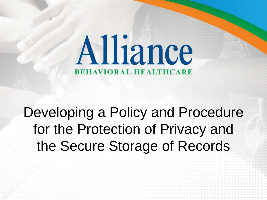# Alliance **BEHAVIORAL HEALTHCARE**

# Developing a Policy and Procedure for the Protection of Privacy and the Secure Storage of Records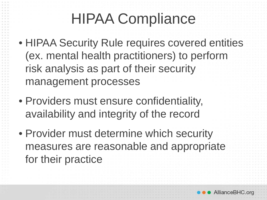# HIPAA Compliance

- HIPAA Security Rule requires covered entities (ex. mental health practitioners) to perform risk analysis as part of their security management processes
- Providers must ensure confidentiality, availability and integrity of the record
- Provider must determine which security measures are reasonable and appropriate for their practice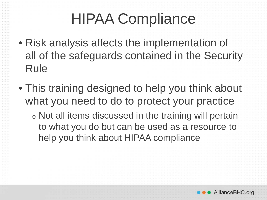# HIPAA Compliance

- Risk analysis affects the implementation of all of the safeguards contained in the Security Rule
- This training designed to help you think about what you need to do to protect your practice
	- <sup>o</sup> Not all items discussed in the training will pertain to what you do but can be used as a resource to help you think about HIPAA compliance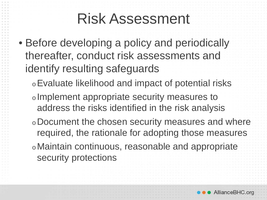#### Risk Assessment

- Before developing a policy and periodically thereafter, conduct risk assessments and identify resulting safeguards
	- <sup>o</sup>Evaluate likelihood and impact of potential risks
	- <sup>o</sup> Implement appropriate security measures to address the risks identified in the risk analysis
	- <sup>o</sup>Document the chosen security measures and where required, the rationale for adopting those measures
	- <sup>o</sup>Maintain continuous, reasonable and appropriate security protections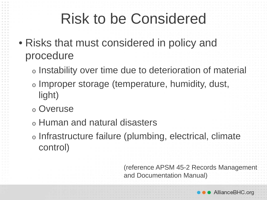## Risk to be Considered

- Risks that must considered in policy and procedure
	- <sup>o</sup> Instability over time due to deterioration of material
	- <sup>o</sup> Improper storage (temperature, humidity, dust, light)
	- <sup>o</sup> Overuse
	- <sup>o</sup> Human and natural disasters
	- <sup>o</sup> Infrastructure failure (plumbing, electrical, climate control)

(reference APSM 45-2 Records Management and Documentation Manual)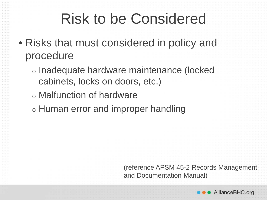## Risk to be Considered

- Risks that must considered in policy and procedure
	- <sup>o</sup> Inadequate hardware maintenance (locked cabinets, locks on doors, etc.)
	- <sup>o</sup> Malfunction of hardware
	- <sup>o</sup> Human error and improper handling

(reference APSM 45-2 Records Management and Documentation Manual)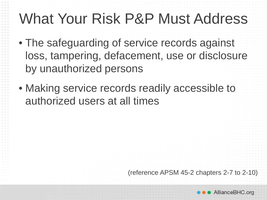- The safeguarding of service records against loss, tampering, defacement, use or disclosure by unauthorized persons
- Making service records readily accessible to authorized users at all times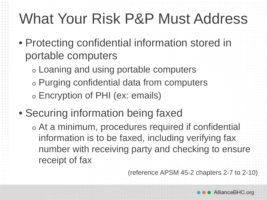- Protecting confidential information stored in portable computers
	- <sup>o</sup> Loaning and using portable computers
	- <sup>o</sup> Purging confidential data from computers <sup>o</sup> Encryption of PHI (ex: emails)
- Securing information being faxed
	- <sup>o</sup> At a minimum, procedures required if confidential information is to be faxed, including verifying fax number with receiving party and checking to ensure receipt of fax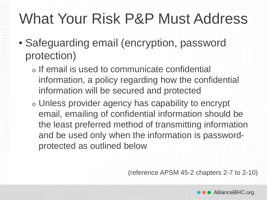- Safeguarding email (encryption, password protection)
	- <sup>o</sup> If email is used to communicate confidential information, a policy regarding how the confidential information will be secured and protected
	- <sup>o</sup> Unless provider agency has capability to encrypt email, emailing of confidential information should be the least preferred method of transmitting information and be used only when the information is passwordprotected as outlined below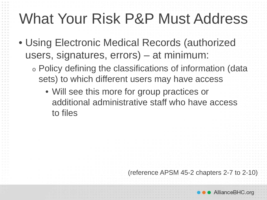- Using Electronic Medical Records (authorized users, signatures, errors) – at minimum:
	- <sup>o</sup> Policy defining the classifications of information (data sets) to which different users may have access
		- Will see this more for group practices or additional administrative staff who have access to files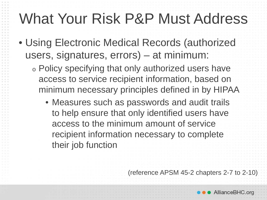- Using Electronic Medical Records (authorized users, signatures, errors) – at minimum:
	- <sup>o</sup> Policy specifying that only authorized users have access to service recipient information, based on minimum necessary principles defined in by HIPAA
		- Measures such as passwords and audit trails to help ensure that only identified users have access to the minimum amount of service recipient information necessary to complete their job function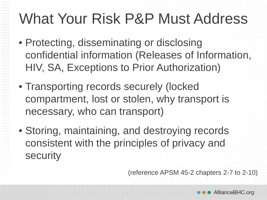- Protecting, disseminating or disclosing confidential information (Releases of Information, HIV, SA, Exceptions to Prior Authorization)
- Transporting records securely (locked compartment, lost or stolen, why transport is necessary, who can transport)
- Storing, maintaining, and destroying records consistent with the principles of privacy and security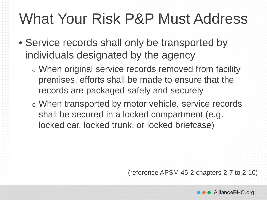- Service records shall only be transported by individuals designated by the agency
	- <sup>o</sup> When original service records removed from facility premises, efforts shall be made to ensure that the records are packaged safely and securely
	- <sup>o</sup> When transported by motor vehicle, service records shall be secured in a locked compartment (e.g. locked car, locked trunk, or locked briefcase)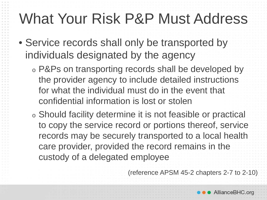- Service records shall only be transported by individuals designated by the agency
	- <sup>o</sup> P&Ps on transporting records shall be developed by the provider agency to include detailed instructions for what the individual must do in the event that confidential information is lost or stolen
	- <sup>o</sup> Should facility determine it is not feasible or practical to copy the service record or portions thereof, service records may be securely transported to a local health care provider, provided the record remains in the custody of a delegated employee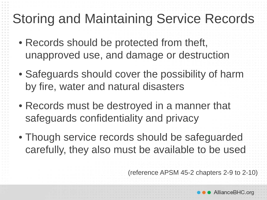#### Storing and Maintaining Service Records

- Records should be protected from theft, unapproved use, and damage or destruction
- Safeguards should cover the possibility of harm by fire, water and natural disasters
- Records must be destroyed in a manner that safeguards confidentiality and privacy
- Though service records should be safeguarded carefully, they also must be available to be used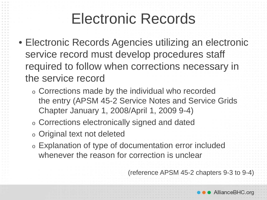#### Electronic Records

- Electronic Records Agencies utilizing an electronic service record must develop procedures staff required to follow when corrections necessary in the service record
	- <sup>o</sup> Corrections made by the individual who recorded the entry (APSM 45-2 Service Notes and Service Grids Chapter January 1, 2008/April 1, 2009 9-4)
	- <sup>o</sup> Corrections electronically signed and dated
	- <sup>o</sup> Original text not deleted
	- <sup>o</sup> Explanation of type of documentation error included whenever the reason for correction is unclear

(reference APSM 45-2 chapters 9-3 to 9-4)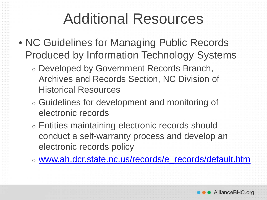#### Additional Resources

- NC Guidelines for Managing Public Records Produced by Information Technology Systems
	- <sup>o</sup> Developed by Government Records Branch, Archives and Records Section, NC Division of Historical Resources
	- <sup>o</sup> Guidelines for development and monitoring of electronic records
	- <sup>o</sup> Entities maintaining electronic records should conduct a self-warranty process and develop an electronic records policy
	- <sup>o</sup> [www.ah.dcr.state.nc.us/records/e\\_records/default.htm](http://www.ah.dcr.state.nc.us/records/e_records/default.htm)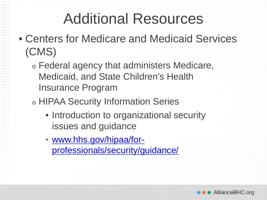#### Additional Resources

- Centers for Medicare and Medicaid Services (CMS)
	- <sup>o</sup> Federal agency that administers Medicare, Medicaid, and State Children's Health Insurance Program
	- <sup>o</sup> HIPAA Security Information Series
		- Introduction to organizational security issues and guidance
		- www.hhs.gov/hipaa/for[professionals/security/guidance/](http://www.hhs.gov/hipaa/for-professionals/security/guidance/)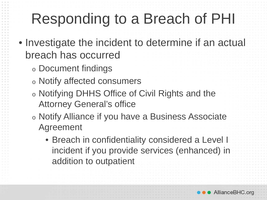# Responding to a Breach of PHI

- Investigate the incident to determine if an actual breach has occurred
	- <sup>o</sup> Document findings
	- <sup>o</sup> Notify affected consumers
	- <sup>o</sup> Notifying DHHS Office of Civil Rights and the Attorney General's office
	- <sup>o</sup> Notify Alliance if you have a Business Associate Agreement
		- Breach in confidentiality considered a Level I incident if you provide services (enhanced) in addition to outpatient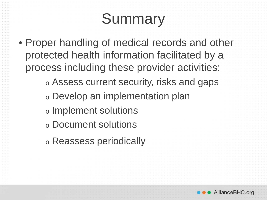# **Summary**

• Proper handling of medical records and other protected health information facilitated by a process including these provider activities:

<sup>o</sup> Assess current security, risks and gaps

<sup>o</sup> Develop an implementation plan

- <sup>o</sup> Implement solutions
- <sup>o</sup> Document solutions
- <sup>o</sup> Reassess periodically